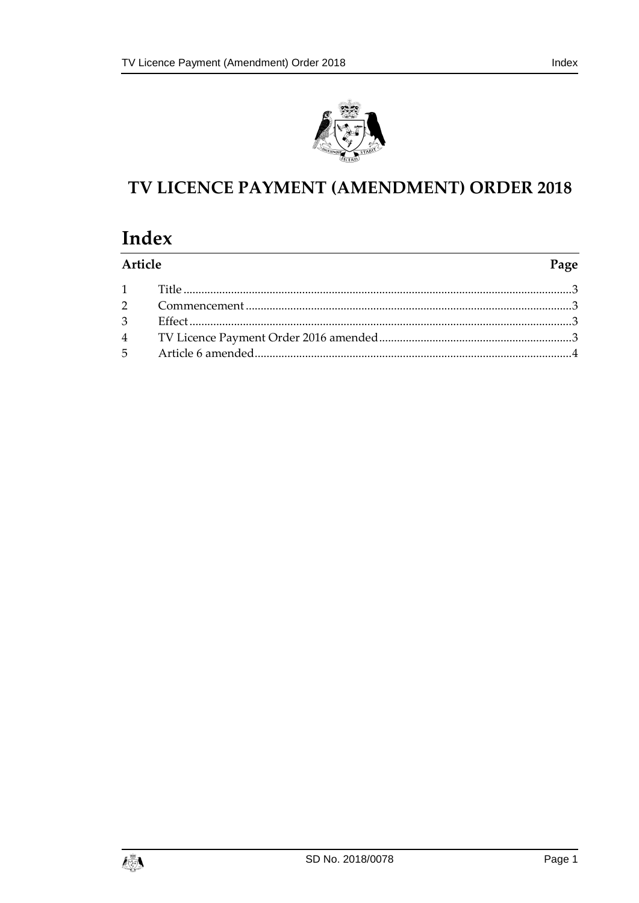



# TV LICENCE PAYMENT (AMENDMENT) ORDER 2018

# Index

| Article | Page |
|---------|------|
|         |      |
|         |      |
|         |      |
|         |      |
|         |      |

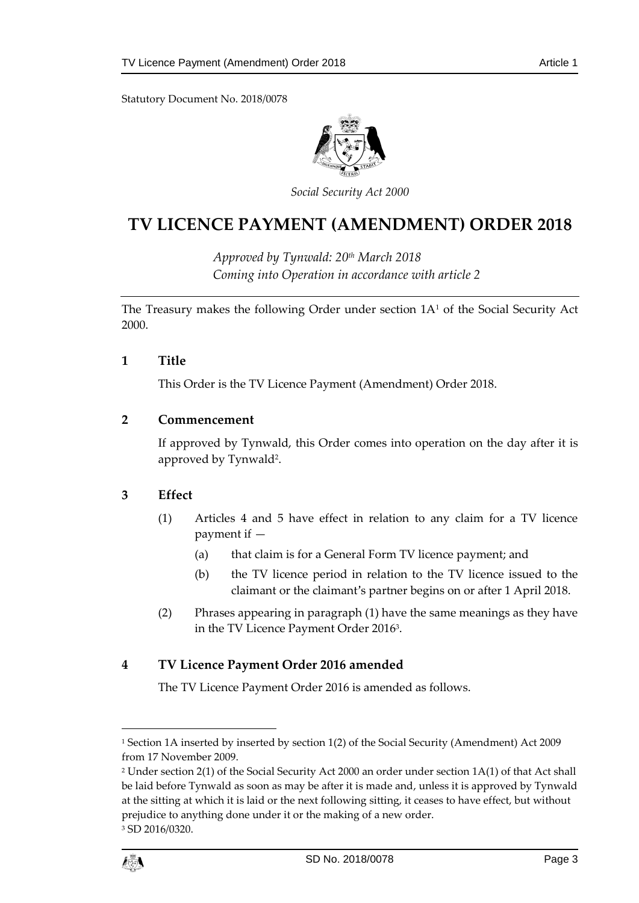Statutory Document No. 2018/0078



*Social Security Act 2000*

# **TV LICENCE PAYMENT (AMENDMENT) ORDER 2018**

*Approved by Tynwald: 20th March 2018 Coming into Operation in accordance with article 2*

The Treasury makes the following Order under section 1A<sup>1</sup> of the Social Security Act 2000.

### <span id="page-2-0"></span>**1 Title**

This Order is the TV Licence Payment (Amendment) Order 2018.

# <span id="page-2-1"></span>**2 Commencement**

If approved by Tynwald, this Order comes into operation on the day after it is approved by Tynwald<sup>2</sup>.

### <span id="page-2-2"></span>**3 Effect**

- (1) Articles 4 and 5 have effect in relation to any claim for a TV licence payment if —
	- (a) that claim is for a General Form TV licence payment; and
	- (b) the TV licence period in relation to the TV licence issued to the claimant or the claimant's partner begins on or after 1 April 2018.
- (2) Phrases appearing in paragraph (1) have the same meanings as they have in the TV Licence Payment Order 2016<sup>3</sup> .

# <span id="page-2-3"></span>**4 TV Licence Payment Order 2016 amended**

The TV Licence Payment Order 2016 is amended as follows.

1

<sup>1</sup> Section 1A inserted by inserted by section 1(2) of the Social Security (Amendment) Act 2009 from 17 November 2009.

<sup>2</sup> Under section 2(1) of the Social Security Act 2000 an order under section 1A(1) of that Act shall be laid before Tynwald as soon as may be after it is made and, unless it is approved by Tynwald at the sitting at which it is laid or the next following sitting, it ceases to have effect, but without prejudice to anything done under it or the making of a new order. <sup>3</sup> SD 2016/0320.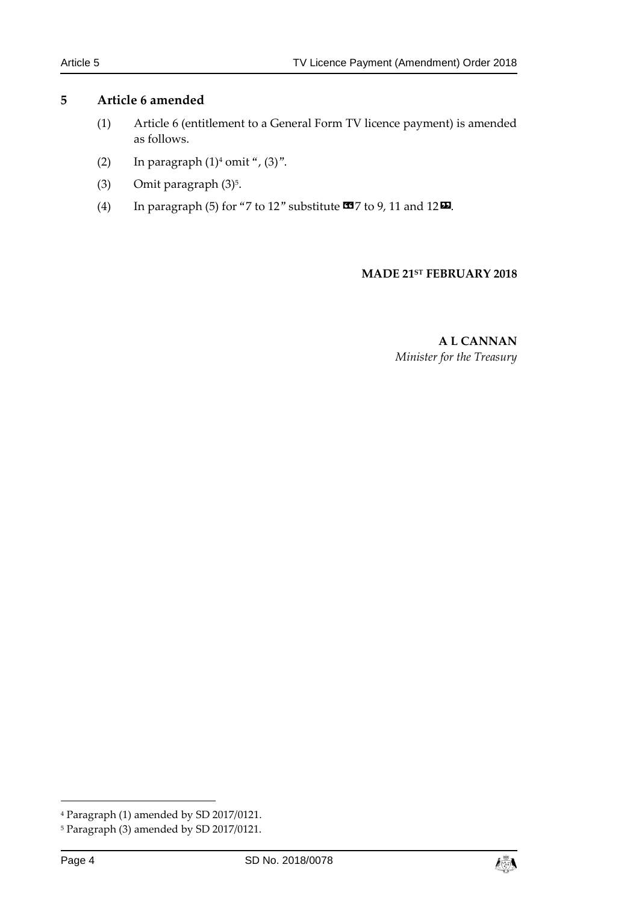### <span id="page-3-0"></span>**5 Article 6 amended**

- (1) Article 6 (entitlement to a General Form TV licence payment) is amended as follows.
- (2) In paragraph  $(1)^4$  omit ",  $(3)$ ".
- $(3)$  Omit paragraph  $(3)<sup>5</sup>$ .
- (4) In paragraph (5) for "7 to 12" substitute  $\text{C3}$  7 to 9, 11 and 12 $\text{D}$ .

#### **MADE 21ST FEBRUARY 2018**

**A L CANNAN** *Minister for the Treasury*

1



<sup>4</sup> Paragraph (1) amended by SD 2017/0121.

<sup>5</sup> Paragraph (3) amended by SD 2017/0121.